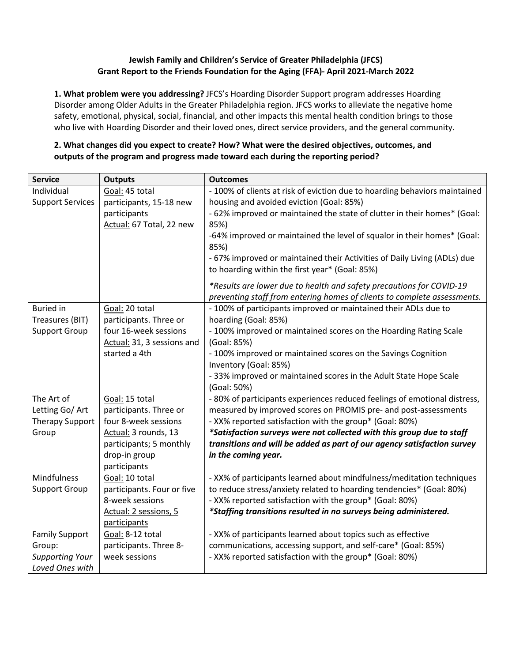### **Jewish Family and Children's Service of Greater Philadelphia (JFCS) Grant Report to the Friends Foundation for the Aging (FFA)- April 2021-March 2022**

**1. What problem were you addressing?** JFCS's Hoarding Disorder Support program addresses Hoarding Disorder among Older Adults in the Greater Philadelphia region. JFCS works to alleviate the negative home safety, emotional, physical, social, financial, and other impacts this mental health condition brings to those who live with Hoarding Disorder and their loved ones, direct service providers, and the general community.

## **2. What changes did you expect to create? How? What were the desired objectives, outcomes, and outputs of the program and progress made toward each during the reporting period?**

| <b>Service</b>          | <b>Outputs</b>                                | <b>Outcomes</b>                                                                                                                                  |  |  |  |
|-------------------------|-----------------------------------------------|--------------------------------------------------------------------------------------------------------------------------------------------------|--|--|--|
| Individual              | Goal: 45 total                                | - 100% of clients at risk of eviction due to hoarding behaviors maintained                                                                       |  |  |  |
| <b>Support Services</b> | participants, 15-18 new                       | housing and avoided eviction (Goal: 85%)                                                                                                         |  |  |  |
|                         | participants                                  | - 62% improved or maintained the state of clutter in their homes* (Goal:                                                                         |  |  |  |
|                         | Actual: 67 Total, 22 new                      | 85%)                                                                                                                                             |  |  |  |
|                         |                                               | -64% improved or maintained the level of squalor in their homes* (Goal:                                                                          |  |  |  |
|                         |                                               | 85%)                                                                                                                                             |  |  |  |
|                         |                                               | - 67% improved or maintained their Activities of Daily Living (ADLs) due<br>to hoarding within the first year* (Goal: 85%)                       |  |  |  |
|                         |                                               |                                                                                                                                                  |  |  |  |
|                         |                                               | *Results are lower due to health and safety precautions for COVID-19<br>preventing staff from entering homes of clients to complete assessments. |  |  |  |
| <b>Buried</b> in        | Goal: 20 total                                | - 100% of participants improved or maintained their ADLs due to                                                                                  |  |  |  |
| Treasures (BIT)         | participants. Three or                        | hoarding (Goal: 85%)                                                                                                                             |  |  |  |
| <b>Support Group</b>    | four 16-week sessions                         | - 100% improved or maintained scores on the Hoarding Rating Scale                                                                                |  |  |  |
|                         | Actual: 31, 3 sessions and                    | (Goal: 85%)                                                                                                                                      |  |  |  |
|                         | started a 4th                                 | - 100% improved or maintained scores on the Savings Cognition                                                                                    |  |  |  |
|                         |                                               | Inventory (Goal: 85%)                                                                                                                            |  |  |  |
|                         |                                               | - 33% improved or maintained scores in the Adult State Hope Scale                                                                                |  |  |  |
|                         |                                               | (Goal: 50%)                                                                                                                                      |  |  |  |
| The Art of              | Goal: 15 total                                | - 80% of participants experiences reduced feelings of emotional distress,                                                                        |  |  |  |
| Letting Go/ Art         | participants. Three or                        | measured by improved scores on PROMIS pre- and post-assessments                                                                                  |  |  |  |
| Therapy Support         | four 8-week sessions                          | - XX% reported satisfaction with the group* (Goal: 80%)                                                                                          |  |  |  |
| Group                   | Actual: 3 rounds, 13                          | *Satisfaction surveys were not collected with this group due to staff                                                                            |  |  |  |
|                         | participants; 5 monthly                       | transitions and will be added as part of our agency satisfaction survey                                                                          |  |  |  |
|                         | drop-in group                                 | in the coming year.                                                                                                                              |  |  |  |
|                         | participants                                  |                                                                                                                                                  |  |  |  |
| Mindfulness             | Goal: 10 total                                | - XX% of participants learned about mindfulness/meditation techniques                                                                            |  |  |  |
| <b>Support Group</b>    | participants. Four or five<br>8-week sessions | to reduce stress/anxiety related to hoarding tendencies* (Goal: 80%)                                                                             |  |  |  |
|                         |                                               | - XX% reported satisfaction with the group* (Goal: 80%)<br>*Staffing transitions resulted in no surveys being administered.                      |  |  |  |
|                         | Actual: 2 sessions, 5<br>participants         |                                                                                                                                                  |  |  |  |
| <b>Family Support</b>   | Goal: 8-12 total                              | - XX% of participants learned about topics such as effective                                                                                     |  |  |  |
| Group:                  | participants. Three 8-                        | communications, accessing support, and self-care* (Goal: 85%)                                                                                    |  |  |  |
| <b>Supporting Your</b>  | week sessions                                 | - XX% reported satisfaction with the group* (Goal: 80%)                                                                                          |  |  |  |
| Loved Ones with         |                                               |                                                                                                                                                  |  |  |  |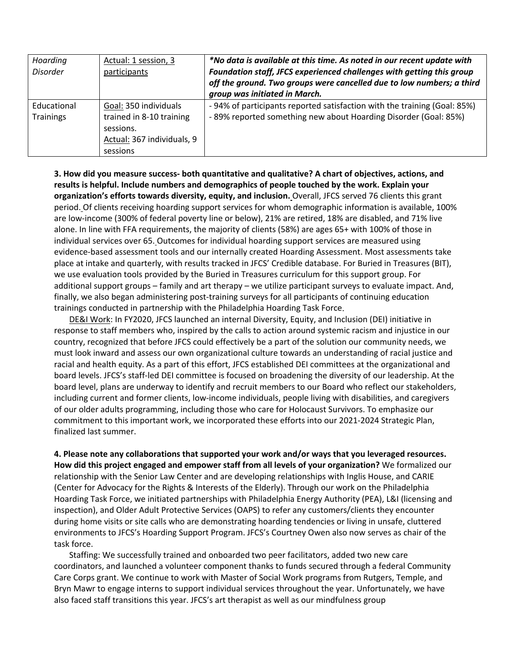| Hoarding<br><b>Disorder</b> | Actual: 1 session, 3<br>participants                                                                     | *No data is available at this time. As noted in our recent update with<br>Foundation staff, JFCS experienced challenges with getting this group<br>off the ground. Two groups were cancelled due to low numbers; a third<br>group was initiated in March. |
|-----------------------------|----------------------------------------------------------------------------------------------------------|-----------------------------------------------------------------------------------------------------------------------------------------------------------------------------------------------------------------------------------------------------------|
| Educational<br>Trainings    | Goal: 350 individuals<br>trained in 8-10 training<br>sessions.<br>Actual: 367 individuals, 9<br>sessions | -94% of participants reported satisfaction with the training (Goal: 85%)<br>- 89% reported something new about Hoarding Disorder (Goal: 85%)                                                                                                              |

**3. How did you measure success- both quantitative and qualitative? A chart of objectives, actions, and results is helpful. Include numbers and demographics of people touched by the work. Explain your organization's efforts towards diversity, equity, and inclusion.** Overall, JFCS served 76 clients this grant period. Of clients receiving hoarding support services for whom demographic information is available, 100% are low-income (300% of federal poverty line or below), 21% are retired, 18% are disabled, and 71% live alone. In line with FFA requirements, the majority of clients (58%) are ages 65+ with 100% of those in individual services over 65. Outcomes for individual hoarding support services are measured using evidence-based assessment tools and our internally created Hoarding Assessment. Most assessments take place at intake and quarterly, with results tracked in JFCS' Credible database. For Buried in Treasures (BIT), we use evaluation tools provided by the Buried in Treasures curriculum for this support group. For additional support groups – family and art therapy – we utilize participant surveys to evaluate impact. And, finally, we also began administering post-training surveys for all participants of continuing education trainings conducted in partnership with the Philadelphia Hoarding Task Force.

DE&I Work: In FY2020, JFCS launched an internal Diversity, Equity, and Inclusion (DEI) initiative in response to staff members who, inspired by the calls to action around systemic racism and injustice in our country, recognized that before JFCS could effectively be a part of the solution our community needs, we must look inward and assess our own organizational culture towards an understanding of racial justice and racial and health equity. As a part of this effort, JFCS established DEI committees at the organizational and board levels. JFCS's staff-led DEI committee is focused on broadening the diversity of our leadership. At the board level, plans are underway to identify and recruit members to our Board who reflect our stakeholders, including current and former clients, low-income individuals, people living with disabilities, and caregivers of our older adults programming, including those who care for Holocaust Survivors. To emphasize our commitment to this important work, we incorporated these efforts into our 2021-2024 Strategic Plan, finalized last summer.

**4. Please note any collaborations that supported your work and/or ways that you leveraged resources. How did this project engaged and empower staff from all levels of your organization?** We formalized our relationship with the Senior Law Center and are developing relationships with Inglis House, and CARIE (Center for Advocacy for the Rights & Interests of the Elderly). Through our work on the Philadelphia Hoarding Task Force, we initiated partnerships with Philadelphia Energy Authority (PEA), L&I (licensing and inspection), and Older Adult Protective Services (OAPS) to refer any customers/clients they encounter during home visits or site calls who are demonstrating hoarding tendencies or living in unsafe, cluttered environments to JFCS's Hoarding Support Program. JFCS's Courtney Owen also now serves as chair of the task force.

Staffing: We successfully trained and onboarded two peer facilitators, added two new care coordinators, and launched a volunteer component thanks to funds secured through a federal Community Care Corps grant. We continue to work with Master of Social Work programs from Rutgers, Temple, and Bryn Mawr to engage interns to support individual services throughout the year. Unfortunately, we have also faced staff transitions this year. JFCS's art therapist as well as our mindfulness group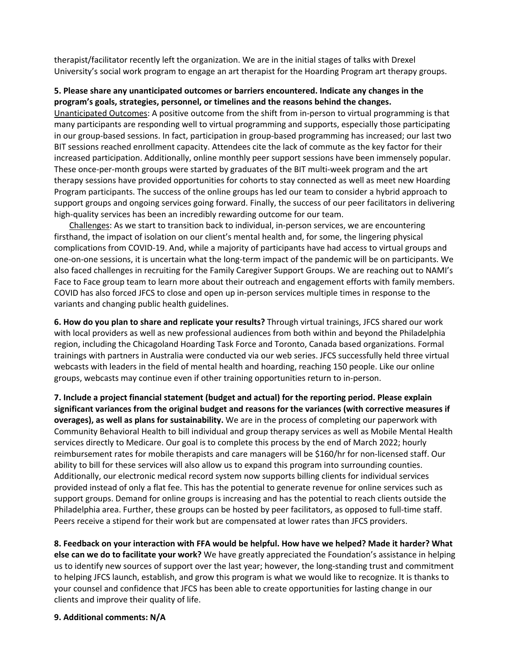therapist/facilitator recently left the organization. We are in the initial stages of talks with Drexel University's social work program to engage an art therapist for the Hoarding Program art therapy groups.

### **5. Please share any unanticipated outcomes or barriers encountered. Indicate any changes in the program's goals, strategies, personnel, or timelines and the reasons behind the changes.**

Unanticipated Outcomes: A positive outcome from the shift from in-person to virtual programming is that many participants are responding well to virtual programming and supports, especially those participating in our group-based sessions. In fact, participation in group-based programming has increased; our last two BIT sessions reached enrollment capacity. Attendees cite the lack of commute as the key factor for their increased participation. Additionally, online monthly peer support sessions have been immensely popular. These once-per-month groups were started by graduates of the BIT multi-week program and the art therapy sessions have provided opportunities for cohorts to stay connected as well as meet new Hoarding Program participants. The success of the online groups has led our team to consider a hybrid approach to support groups and ongoing services going forward. Finally, the success of our peer facilitators in delivering high-quality services has been an incredibly rewarding outcome for our team.

Challenges: As we start to transition back to individual, in-person services, we are encountering firsthand, the impact of isolation on our client's mental health and, for some, the lingering physical complications from COVID-19. And, while a majority of participants have had access to virtual groups and one-on-one sessions, it is uncertain what the long-term impact of the pandemic will be on participants. We also faced challenges in recruiting for the Family Caregiver Support Groups. We are reaching out to NAMI's Face to Face group team to learn more about their outreach and engagement efforts with family members. COVID has also forced JFCS to close and open up in-person services multiple times in response to the variants and changing public health guidelines.

**6. How do you plan to share and replicate your results?** Through virtual trainings, JFCS shared our work with local providers as well as new professional audiences from both within and beyond the Philadelphia region, including the Chicagoland Hoarding Task Force and Toronto, Canada based organizations. Formal trainings with partners in Australia were conducted via our web series. JFCS successfully held three virtual webcasts with leaders in the field of mental health and hoarding, reaching 150 people. Like our online groups, webcasts may continue even if other training opportunities return to in-person.

**7. Include a project financial statement (budget and actual) for the reporting period. Please explain significant variances from the original budget and reasons for the variances (with corrective measures if overages), as well as plans for sustainability.** We are in the process of completing our paperwork with Community Behavioral Health to bill individual and group therapy services as well as Mobile Mental Health services directly to Medicare. Our goal is to complete this process by the end of March 2022; hourly reimbursement rates for mobile therapists and care managers will be \$160/hr for non-licensed staff. Our ability to bill for these services will also allow us to expand this program into surrounding counties. Additionally, our electronic medical record system now supports billing clients for individual services provided instead of only a flat fee. This has the potential to generate revenue for online services such as support groups. Demand for online groups is increasing and has the potential to reach clients outside the Philadelphia area. Further, these groups can be hosted by peer facilitators, as opposed to full-time staff. Peers receive a stipend for their work but are compensated at lower rates than JFCS providers.

**8. Feedback on your interaction with FFA would be helpful. How have we helped? Made it harder? What else can we do to facilitate your work?** We have greatly appreciated the Foundation's assistance in helping us to identify new sources of support over the last year; however, the long-standing trust and commitment to helping JFCS launch, establish, and grow this program is what we would like to recognize. It is thanks to your counsel and confidence that JFCS has been able to create opportunities for lasting change in our clients and improve their quality of life.

#### **9. Additional comments: N/A**